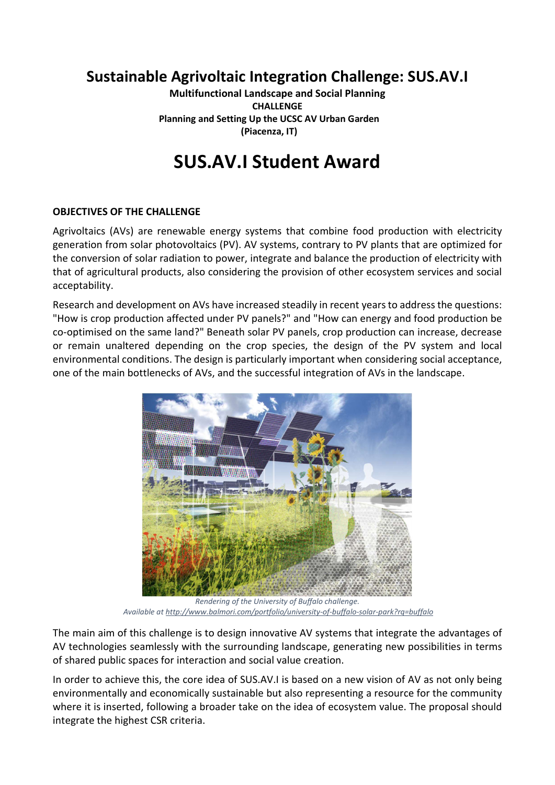# Sustainable Agrivoltaic Integration Challenge: SUS.AV.I

Multifunctional Landscape and Social Planning CHALLENGE Planning and Setting Up the UCSC AV Urban Garden (Piacenza, IT)

# SUS.AV.I Student Award

# OBJECTIVES OF THE CHALLENGE

Agrivoltaics (AVs) are renewable energy systems that combine food production with electricity generation from solar photovoltaics (PV). AV systems, contrary to PV plants that are optimized for the conversion of solar radiation to power, integrate and balance the production of electricity with that of agricultural products, also considering the provision of other ecosystem services and social acceptability.

Research and development on AVs have increased steadily in recent years to address the questions: "How is crop production affected under PV panels?" and "How can energy and food production be co-optimised on the same land?" Beneath solar PV panels, crop production can increase, decrease or remain unaltered depending on the crop species, the design of the PV system and local environmental conditions. The design is particularly important when considering social acceptance, one of the main bottlenecks of AVs, and the successful integration of AVs in the landscape.



Rendering of the University of Buffalo challenge. Available at http://www.balmori.com/portfolio/university-of-buffalo-solar-park?rq=buffalo

The main aim of this challenge is to design innovative AV systems that integrate the advantages of AV technologies seamlessly with the surrounding landscape, generating new possibilities in terms of shared public spaces for interaction and social value creation.

In order to achieve this, the core idea of SUS.AV.I is based on a new vision of AV as not only being environmentally and economically sustainable but also representing a resource for the community where it is inserted, following a broader take on the idea of ecosystem value. The proposal should integrate the highest CSR criteria.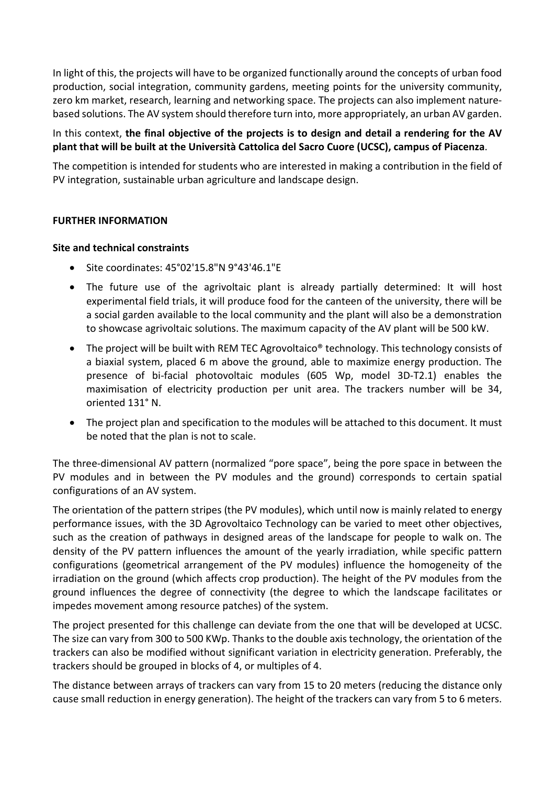In light of this, the projects will have to be organized functionally around the concepts of urban food production, social integration, community gardens, meeting points for the university community, zero km market, research, learning and networking space. The projects can also implement naturebased solutions. The AV system should therefore turn into, more appropriately, an urban AV garden.

# In this context, the final objective of the projects is to design and detail a rendering for the AV plant that will be built at the Università Cattolica del Sacro Cuore (UCSC), campus of Piacenza.

The competition is intended for students who are interested in making a contribution in the field of PV integration, sustainable urban agriculture and landscape design.

#### FURTHER INFORMATION

#### Site and technical constraints

- Site coordinates: 45°02'15.8"N 9°43'46.1"E
- The future use of the agrivoltaic plant is already partially determined: It will host experimental field trials, it will produce food for the canteen of the university, there will be a social garden available to the local community and the plant will also be a demonstration to showcase agrivoltaic solutions. The maximum capacity of the AV plant will be 500 kW.
- The project will be built with REM TEC Agrovoltaico<sup>®</sup> technology. This technology consists of a biaxial system, placed 6 m above the ground, able to maximize energy production. The presence of bi-facial photovoltaic modules (605 Wp, model 3D-T2.1) enables the maximisation of electricity production per unit area. The trackers number will be 34, oriented 131° N.
- The project plan and specification to the modules will be attached to this document. It must be noted that the plan is not to scale.

The three-dimensional AV pattern (normalized "pore space", being the pore space in between the PV modules and in between the PV modules and the ground) corresponds to certain spatial configurations of an AV system.

The orientation of the pattern stripes (the PV modules), which until now is mainly related to energy performance issues, with the 3D Agrovoltaico Technology can be varied to meet other objectives, such as the creation of pathways in designed areas of the landscape for people to walk on. The density of the PV pattern influences the amount of the yearly irradiation, while specific pattern configurations (geometrical arrangement of the PV modules) influence the homogeneity of the irradiation on the ground (which affects crop production). The height of the PV modules from the ground influences the degree of connectivity (the degree to which the landscape facilitates or impedes movement among resource patches) of the system.

The project presented for this challenge can deviate from the one that will be developed at UCSC. The size can vary from 300 to 500 KWp. Thanks to the double axis technology, the orientation of the trackers can also be modified without significant variation in electricity generation. Preferably, the trackers should be grouped in blocks of 4, or multiples of 4.

The distance between arrays of trackers can vary from 15 to 20 meters (reducing the distance only cause small reduction in energy generation). The height of the trackers can vary from 5 to 6 meters.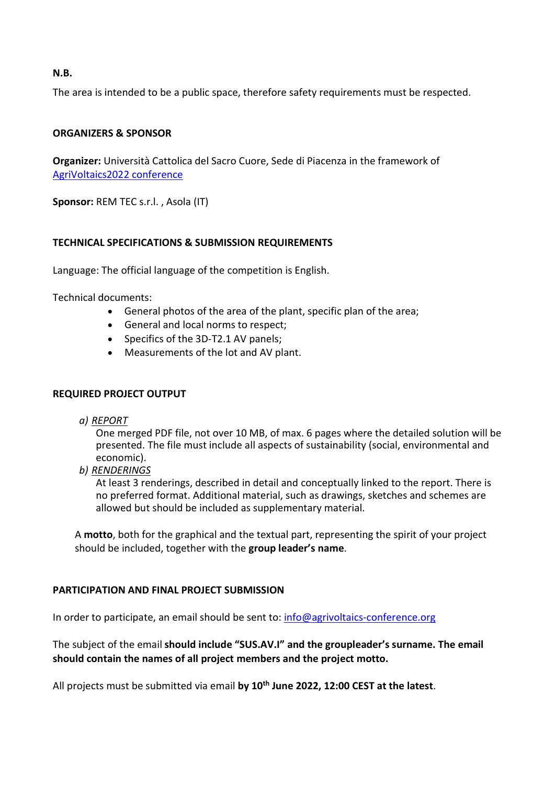### N.B.

The area is intended to be a public space, therefore safety requirements must be respected.

# ORGANIZERS & SPONSOR

Organizer: Università Cattolica del Sacro Cuore, Sede di Piacenza in the framework of AgriVoltaics2022 conference

Sponsor: REM TEC s.r.l., Asola (IT)

# TECHNICAL SPECIFICATIONS & SUBMISSION REQUIREMENTS

Language: The official language of the competition is English.

Technical documents:

- General photos of the area of the plant, specific plan of the area;
- General and local norms to respect;
- Specifics of the 3D-T2.1 AV panels;
- Measurements of the lot and AV plant.

#### REQUIRED PROJECT OUTPUT

a) REPORT

One merged PDF file, not over 10 MB, of max. 6 pages where the detailed solution will be presented. The file must include all aspects of sustainability (social, environmental and economic).

b) RENDERINGS

At least 3 renderings, described in detail and conceptually linked to the report. There is no preferred format. Additional material, such as drawings, sketches and schemes are allowed but should be included as supplementary material.

A motto, both for the graphical and the textual part, representing the spirit of your project should be included, together with the group leader's name.

#### PARTICIPATION AND FINAL PROJECT SUBMISSION

In order to participate, an email should be sent to: info@agrivoltaics-conference.org

The subject of the email should include "SUS.AV.I" and the groupleader's surname. The email should contain the names of all project members and the project motto.

All projects must be submitted via email by 10<sup>th</sup> June 2022, 12:00 CEST at the latest.